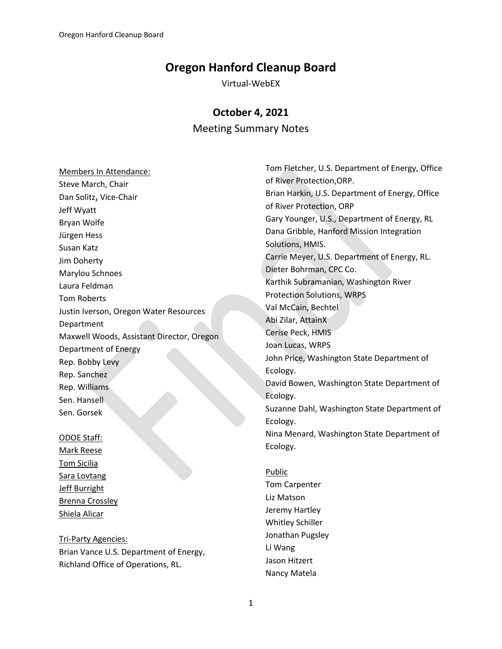# **Oregon Hanford Cleanup Board**

Virtual-WebEX

## **October 4, 2021**

## Meeting Summary Notes

Members In Attendance: Steve March, Chair Dan Solitz, Vice-Chair Jeff Wyatt Bryan Wolfe Jürgen Hess Susan Katz Jim Doherty Marylou Schnoes Laura Feldman Tom Roberts Justin Iverson, Oregon Water Resources Department Maxwell Woods, Assistant Director, Oregon Department of Energy Rep. Bobby Levy Rep. Sanchez Rep. Williams Sen. Hansell Sen. Gorsek

#### ODOE Staff:

Mark Reese Tom Sicilia Sara Lovtang Jeff Burright Brenna Crossley Shiela Alicar

Tri-Party Agencies: Brian Vance U.S. Department of Energy, Richland Office of Operations, RL.

Tom Fletcher, U.S. Department of Energy, Office of River Protection,ORP. Brian Harkin, U.S. Department of Energy, Office of River Protection, ORP Gary Younger, U.S., Department of Energy, RL Dana Gribble, Hanford Mission Integration Solutions, HMIS. Carrie Meyer, U.S. Department of Energy, RL. Dieter Bohrman, CPC Co. Karthik Subramanian, Washington River Protection Solutions, WRPS Val McCain, Bechtel Abi Zilar, AttainX Cerise Peck, HMIS Joan Lucas, WRPS John Price, Washington State Department of Ecology. David Bowen, Washington State Department of Ecology. Suzanne Dahl, Washington State Department of Ecology. Nina Menard, Washington State Department of Ecology.

Public Tom Carpenter Liz Matson Jeremy Hartley Whitley Schiller Jonathan Pugsley Li Wang Jason Hitzert Nancy Matela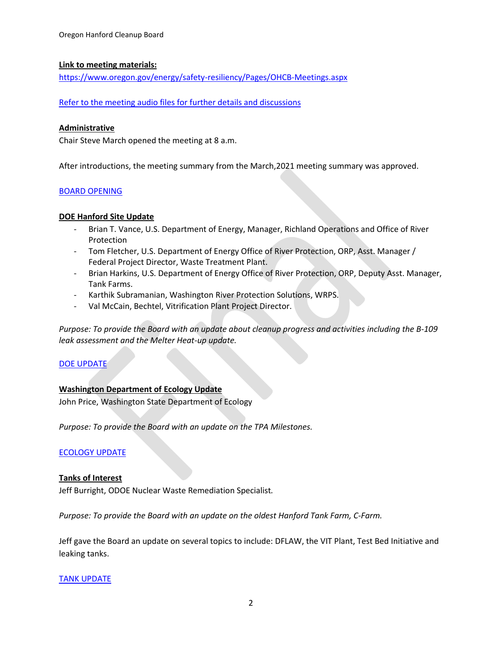### **Link to meeting materials:**

<https://www.oregon.gov/energy/safety-resiliency/Pages/OHCB-Meetings.aspx>

[Refer to the meeting audio files for further details and discussions](https://soundcloud.com/odoe/2021-10-04-oregon-hanford-cleanup-board-meeting?si=e84a9747f9ab49cc842c5aa2063915b0)

#### **Administrative**

Chair Steve March opened the meeting at 8 a.m.

After introductions, the meeting summary from the March,2021 meeting summary was approved.

## [BOARD OPENING](https://soundcloud.com/odoe/2021-10-04-oregon-hanford-cleanup-board-meeting?si=e84a9747f9ab49cc842c5aa2063915b0)

## **DOE Hanford Site Update**

- Brian T. Vance, U.S. Department of Energy, Manager, Richland Operations and Office of River Protection
- Tom Fletcher, U.S. Department of Energy Office of River Protection, ORP, Asst. Manager / Federal Project Director, Waste Treatment Plant.
- Brian Harkins, U.S. Department of Energy Office of River Protection, ORP, Deputy Asst. Manager, Tank Farms.
- Karthik Subramanian, Washington River Protection Solutions, WRPS.
- Val McCain, Bechtel, Vitrification Plant Project Director.

*Purpose: To provide the Board with an update about cleanup progress and activities including the B-109 leak assessment and the Melter Heat-up update.*

## [DOE UPDATE](https://soundcloud.com/odoe/2021-10-04-oregon-hanford-cleanup-board-meeting?si=e84a9747f9ab49cc842c5aa2063915b0)

## **Washington Department of Ecology Update**

John Price, Washington State Department of Ecology

*Purpose: To provide the Board with an update on the TPA Milestones.*

#### [ECOLOGY UPDATE](https://soundcloud.com/odoe/2021-10-04-oregon-hanford-cleanup-board-meeting?si=e84a9747f9ab49cc842c5aa2063915b0)

#### **Tanks of Interest**

Jeff Burright, ODOE Nuclear Waste Remediation Specialist*.*

*Purpose: To provide the Board with an update on the oldest Hanford Tank Farm, C-Farm.*

Jeff gave the Board an update on several topics to include: DFLAW, the VIT Plant, Test Bed Initiative and leaking tanks.

#### TANK [UPDATE](https://soundcloud.com/odoe/2021-10-04-oregon-hanford-cleanup-board-meeting?si=e84a9747f9ab49cc842c5aa2063915b0)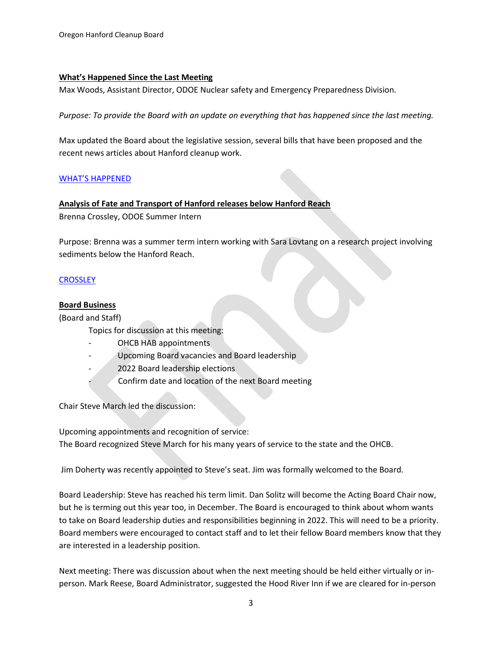## **What's Happened Since the Last Meeting**

Max Woods, Assistant Director, ODOE Nuclear safety and Emergency Preparedness Division.

*Purpose: To provide the Board with an update on everything that has happened since the last meeting.*

Max updated the Board about the legislative session, several bills that have been proposed and the recent news articles about Hanford cleanup work.

## [WHAT'S HAPPEN](https://soundcloud.com/odoe/2021-10-04-oregon-hanford-cleanup-board-meeting?si=e84a9747f9ab49cc842c5aa2063915b0)ED

## **Analysis of Fate and Transport of Hanford releases below Hanford Reach**

Brenna Crossley, ODOE Summer Intern

Purpose: Brenna was a summer term intern working with Sara Lovtang on a research project involving sediments below the Hanford Reach.

## **[CROSSLEY](https://soundcloud.com/odoe/2021-10-04-oregon-hanford-cleanup-board-meeting?si=e84a9747f9ab49cc842c5aa2063915b0)**

## **Board Business**

(Board and Staff)

Topics for discussion at this meeting:

- OHCB HAB appointments
- Upcoming Board vacancies and Board leadership
- 2022 Board leadership elections
- Confirm date and location of the next Board meeting

Chair Steve March led the discussion:

Upcoming appointments and recognition of service: The Board recognized Steve March for his many years of service to the state and the OHCB.

Jim Doherty was recently appointed to Steve's seat. Jim was formally welcomed to the Board.

Board Leadership: Steve has reached his term limit. Dan Solitz will become the Acting Board Chair now, but he is terming out this year too, in December. The Board is encouraged to think about whom wants to take on Board leadership duties and responsibilities beginning in 2022. This will need to be a priority. Board members were encouraged to contact staff and to let their fellow Board members know that they are interested in a leadership position.

Next meeting: There was discussion about when the next meeting should be held either virtually or inperson. Mark Reese, Board Administrator, suggested the Hood River Inn if we are cleared for in-person